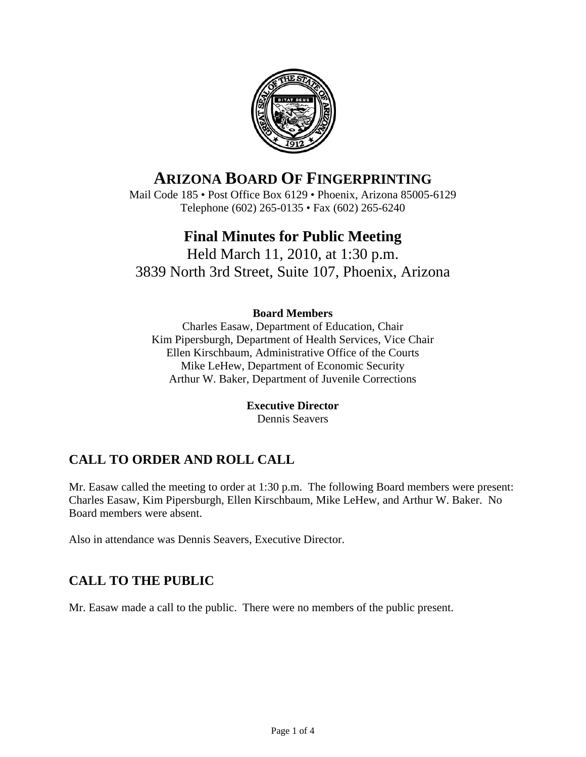

# **ARIZONA BOARD OF FINGERPRINTING**

Mail Code 185 • Post Office Box 6129 • Phoenix, Arizona 85005-6129 Telephone (602) 265-0135 • Fax (602) 265-6240

# **Final Minutes for Public Meeting**

Held March 11, 2010, at 1:30 p.m. 3839 North 3rd Street, Suite 107, Phoenix, Arizona

#### **Board Members**

Charles Easaw, Department of Education, Chair Kim Pipersburgh, Department of Health Services, Vice Chair Ellen Kirschbaum, Administrative Office of the Courts Mike LeHew, Department of Economic Security Arthur W. Baker, Department of Juvenile Corrections

#### **Executive Director**

Dennis Seavers

## **CALL TO ORDER AND ROLL CALL**

Mr. Easaw called the meeting to order at 1:30 p.m. The following Board members were present: Charles Easaw, Kim Pipersburgh, Ellen Kirschbaum, Mike LeHew, and Arthur W. Baker. No Board members were absent.

Also in attendance was Dennis Seavers, Executive Director.

## **CALL TO THE PUBLIC**

Mr. Easaw made a call to the public. There were no members of the public present.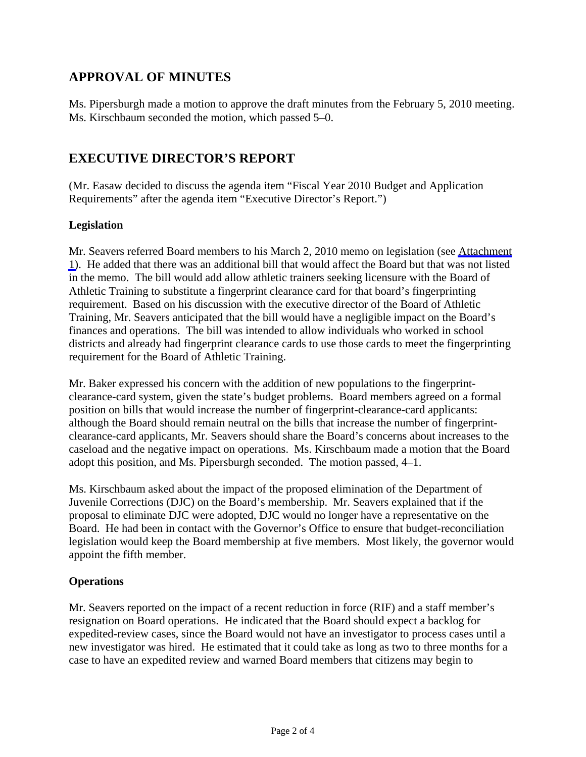## **APPROVAL OF MINUTES**

Ms. Pipersburgh made a motion to approve the draft minutes from the February 5, 2010 meeting. Ms. Kirschbaum seconded the motion, which passed 5–0.

### **EXECUTIVE DIRECTOR'S REPORT**

(Mr. Easaw decided to discuss the agenda item "Fiscal Year 2010 Budget and Application Requirements" after the agenda item "Executive Director's Report.")

#### **Legislation**

Mr. Seavers referred Board members to his March 2, 2010 memo on legislation (see [Attachment](#page-4-0) [1\)](#page-4-0). He added that there was an additional bill that would affect the Board but that was not listed in the memo. The bill would add allow athletic trainers seeking licensure with the Board of Athletic Training to substitute a fingerprint clearance card for that board's fingerprinting requirement. Based on his discussion with the executive director of the Board of Athletic Training, Mr. Seavers anticipated that the bill would have a negligible impact on the Board's finances and operations. The bill was intended to allow individuals who worked in school districts and already had fingerprint clearance cards to use those cards to meet the fingerprinting requirement for the Board of Athletic Training.

Mr. Baker expressed his concern with the addition of new populations to the fingerprintclearance-card system, given the state's budget problems. Board members agreed on a formal position on bills that would increase the number of fingerprint-clearance-card applicants: although the Board should remain neutral on the bills that increase the number of fingerprintclearance-card applicants, Mr. Seavers should share the Board's concerns about increases to the caseload and the negative impact on operations. Ms. Kirschbaum made a motion that the Board adopt this position, and Ms. Pipersburgh seconded. The motion passed, 4–1.

Ms. Kirschbaum asked about the impact of the proposed elimination of the Department of Juvenile Corrections (DJC) on the Board's membership. Mr. Seavers explained that if the proposal to eliminate DJC were adopted, DJC would no longer have a representative on the Board. He had been in contact with the Governor's Office to ensure that budget-reconciliation legislation would keep the Board membership at five members. Most likely, the governor would appoint the fifth member.

#### **Operations**

Mr. Seavers reported on the impact of a recent reduction in force (RIF) and a staff member's resignation on Board operations. He indicated that the Board should expect a backlog for expedited-review cases, since the Board would not have an investigator to process cases until a new investigator was hired. He estimated that it could take as long as two to three months for a case to have an expedited review and warned Board members that citizens may begin to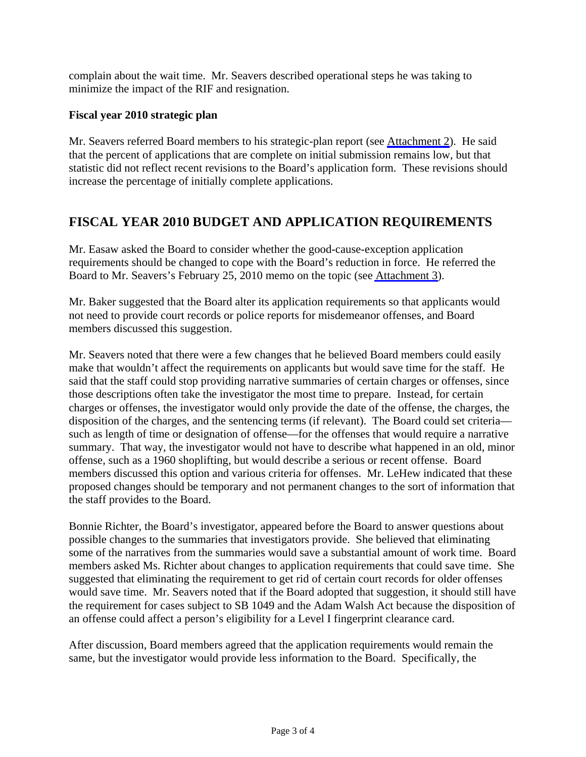complain about the wait time. Mr. Seavers described operational steps he was taking to minimize the impact of the RIF and resignation.

#### **Fiscal year 2010 strategic plan**

Mr. Seavers referred Board members to his strategic-plan report (see [Attachment 2\)](#page-7-0). He said that the percent of applications that are complete on initial submission remains low, but that statistic did not reflect recent revisions to the Board's application form. These revisions should increase the percentage of initially complete applications.

### **FISCAL YEAR 2010 BUDGET AND APPLICATION REQUIREMENTS**

Mr. Easaw asked the Board to consider whether the good-cause-exception application requirements should be changed to cope with the Board's reduction in force. He referred the Board to Mr. Seavers's February 25, 2010 memo on the topic (see [Attachment 3\)](#page-10-0).

Mr. Baker suggested that the Board alter its application requirements so that applicants would not need to provide court records or police reports for misdemeanor offenses, and Board members discussed this suggestion.

Mr. Seavers noted that there were a few changes that he believed Board members could easily make that wouldn't affect the requirements on applicants but would save time for the staff. He said that the staff could stop providing narrative summaries of certain charges or offenses, since those descriptions often take the investigator the most time to prepare. Instead, for certain charges or offenses, the investigator would only provide the date of the offense, the charges, the disposition of the charges, and the sentencing terms (if relevant). The Board could set criteria such as length of time or designation of offense—for the offenses that would require a narrative summary. That way, the investigator would not have to describe what happened in an old, minor offense, such as a 1960 shoplifting, but would describe a serious or recent offense. Board members discussed this option and various criteria for offenses. Mr. LeHew indicated that these proposed changes should be temporary and not permanent changes to the sort of information that the staff provides to the Board.

Bonnie Richter, the Board's investigator, appeared before the Board to answer questions about possible changes to the summaries that investigators provide. She believed that eliminating some of the narratives from the summaries would save a substantial amount of work time. Board members asked Ms. Richter about changes to application requirements that could save time. She suggested that eliminating the requirement to get rid of certain court records for older offenses would save time. Mr. Seavers noted that if the Board adopted that suggestion, it should still have the requirement for cases subject to SB 1049 and the Adam Walsh Act because the disposition of an offense could affect a person's eligibility for a Level I fingerprint clearance card.

After discussion, Board members agreed that the application requirements would remain the same, but the investigator would provide less information to the Board. Specifically, the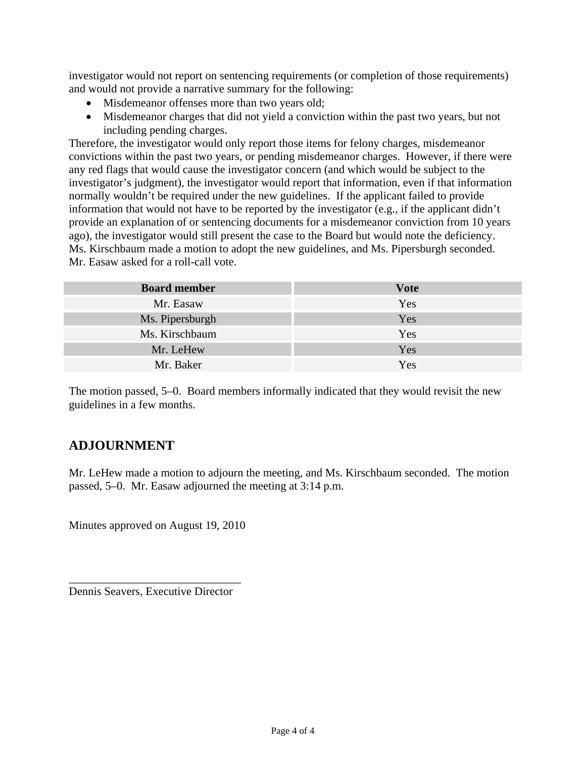investigator would not report on sentencing requirements (or completion of those requirements) and would not provide a narrative summary for the following:

- Misdemeanor offenses more than two years old;
- Misdemeanor charges that did not yield a conviction within the past two years, but not including pending charges.

Therefore, the investigator would only report those items for felony charges, misdemeanor convictions within the past two years, or pending misdemeanor charges. However, if there were any red flags that would cause the investigator concern (and which would be subject to the investigator's judgment), the investigator would report that information, even if that information normally wouldn't be required under the new guidelines. If the applicant failed to provide information that would not have to be reported by the investigator (e.g., if the applicant didn't provide an explanation of or sentencing documents for a misdemeanor conviction from 10 years ago), the investigator would still present the case to the Board but would note the deficiency. Ms. Kirschbaum made a motion to adopt the new guidelines, and Ms. Pipersburgh seconded. Mr. Easaw asked for a roll-call vote.

| <b>Board member</b> | <b>Vote</b> |
|---------------------|-------------|
| Mr. Easaw           | Yes         |
| Ms. Pipersburgh     | Yes         |
| Ms. Kirschbaum      | Yes         |
| Mr. LeHew           | Yes         |
| Mr. Baker           | Yes         |

The motion passed, 5–0. Board members informally indicated that they would revisit the new guidelines in a few months.

## **ADJOURNMENT**

Mr. LeHew made a motion to adjourn the meeting, and Ms. Kirschbaum seconded. The motion passed, 5–0. Mr. Easaw adjourned the meeting at 3:14 p.m.

Minutes approved on August 19, 2010

\_\_\_\_\_\_\_\_\_\_\_\_\_\_\_\_\_\_\_\_\_\_\_\_\_\_\_\_\_\_ Dennis Seavers, Executive Director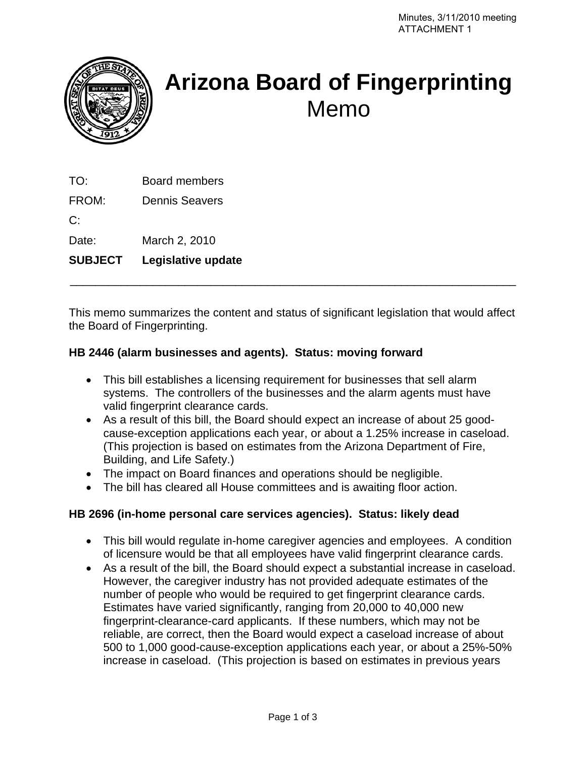<span id="page-4-0"></span>

# **Arizona Board of Fingerprinting**  Memo

TO: Board members

FROM: Dennis Seavers

C:

Date: March 2, 2010

**SUBJECT Legislative update** 

This memo summarizes the content and status of significant legislation that would affect the Board of Fingerprinting.

\_\_\_\_\_\_\_\_\_\_\_\_\_\_\_\_\_\_\_\_\_\_\_\_\_\_\_\_\_\_\_\_\_\_\_\_\_\_\_\_\_\_\_\_\_\_\_\_\_\_\_\_\_\_\_\_\_\_\_\_\_\_\_\_\_\_\_\_\_\_

#### **HB 2446 (alarm businesses and agents). Status: moving forward**

- This bill establishes a licensing requirement for businesses that sell alarm systems. The controllers of the businesses and the alarm agents must have valid fingerprint clearance cards.
- As a result of this bill, the Board should expect an increase of about 25 goodcause-exception applications each year, or about a 1.25% increase in caseload. (This projection is based on estimates from the Arizona Department of Fire, Building, and Life Safety.)
- The impact on Board finances and operations should be negligible.
- The bill has cleared all House committees and is awaiting floor action.

#### **HB 2696 (in-home personal care services agencies). Status: likely dead**

- This bill would regulate in-home caregiver agencies and employees. A condition of licensure would be that all employees have valid fingerprint clearance cards.
- As a result of the bill, the Board should expect a substantial increase in caseload. However, the caregiver industry has not provided adequate estimates of the number of people who would be required to get fingerprint clearance cards. Estimates have varied significantly, ranging from 20,000 to 40,000 new fingerprint-clearance-card applicants. If these numbers, which may not be reliable, are correct, then the Board would expect a caseload increase of about 500 to 1,000 good-cause-exception applications each year, or about a 25%-50% increase in caseload. (This projection is based on estimates in previous years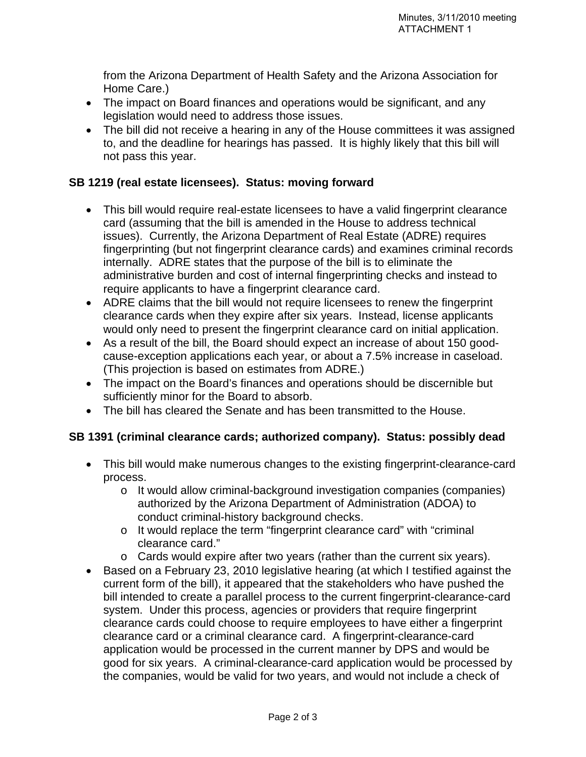from the Arizona Department of Health Safety and the Arizona Association for Home Care.)

- The impact on Board finances and operations would be significant, and any legislation would need to address those issues.
- The bill did not receive a hearing in any of the House committees it was assigned to, and the deadline for hearings has passed. It is highly likely that this bill will not pass this year.

#### **SB 1219 (real estate licensees). Status: moving forward**

- This bill would require real-estate licensees to have a valid fingerprint clearance card (assuming that the bill is amended in the House to address technical issues). Currently, the Arizona Department of Real Estate (ADRE) requires fingerprinting (but not fingerprint clearance cards) and examines criminal records internally. ADRE states that the purpose of the bill is to eliminate the administrative burden and cost of internal fingerprinting checks and instead to require applicants to have a fingerprint clearance card.
- ADRE claims that the bill would not require licensees to renew the fingerprint clearance cards when they expire after six years. Instead, license applicants would only need to present the fingerprint clearance card on initial application.
- As a result of the bill, the Board should expect an increase of about 150 goodcause-exception applications each year, or about a 7.5% increase in caseload. (This projection is based on estimates from ADRE.)
- The impact on the Board's finances and operations should be discernible but sufficiently minor for the Board to absorb.
- The bill has cleared the Senate and has been transmitted to the House.

#### **SB 1391 (criminal clearance cards; authorized company). Status: possibly dead**

- This bill would make numerous changes to the existing fingerprint-clearance-card process.
	- o It would allow criminal-background investigation companies (companies) authorized by the Arizona Department of Administration (ADOA) to conduct criminal-history background checks.
	- o It would replace the term "fingerprint clearance card" with "criminal clearance card."
	- o Cards would expire after two years (rather than the current six years).
- Based on a February 23, 2010 legislative hearing (at which I testified against the current form of the bill), it appeared that the stakeholders who have pushed the bill intended to create a parallel process to the current fingerprint-clearance-card system. Under this process, agencies or providers that require fingerprint clearance cards could choose to require employees to have either a fingerprint clearance card or a criminal clearance card. A fingerprint-clearance-card application would be processed in the current manner by DPS and would be good for six years. A criminal-clearance-card application would be processed by the companies, would be valid for two years, and would not include a check of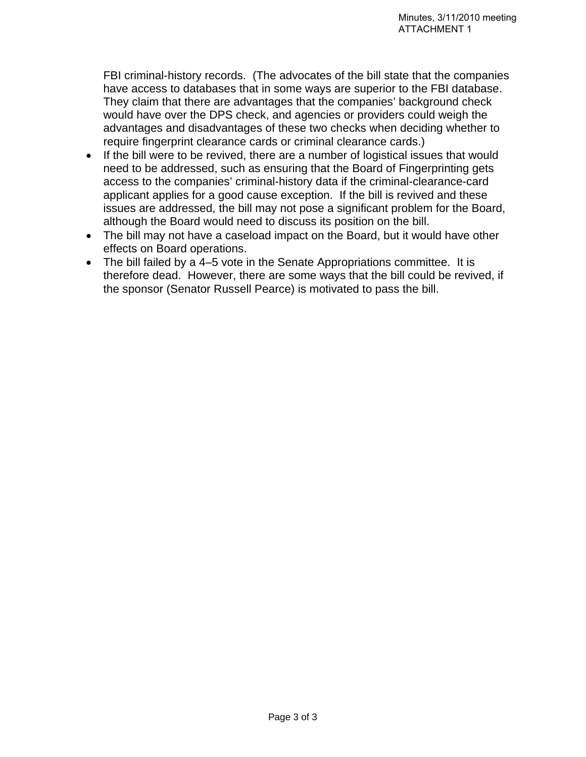FBI criminal-history records. (The advocates of the bill state that the companies have access to databases that in some ways are superior to the FBI database. They claim that there are advantages that the companies' background check would have over the DPS check, and agencies or providers could weigh the advantages and disadvantages of these two checks when deciding whether to require fingerprint clearance cards or criminal clearance cards.)

- If the bill were to be revived, there are a number of logistical issues that would need to be addressed, such as ensuring that the Board of Fingerprinting gets access to the companies' criminal-history data if the criminal-clearance-card applicant applies for a good cause exception. If the bill is revived and these issues are addressed, the bill may not pose a significant problem for the Board, although the Board would need to discuss its position on the bill.
- The bill may not have a caseload impact on the Board, but it would have other effects on Board operations.
- The bill failed by a 4–5 vote in the Senate Appropriations committee. It is therefore dead. However, there are some ways that the bill could be revived, if the sponsor (Senator Russell Pearce) is motivated to pass the bill.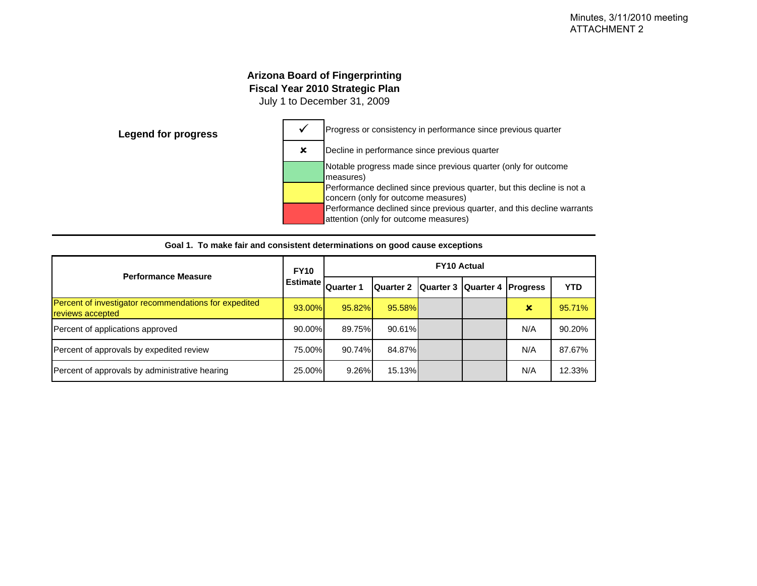#### **Arizona Board of Fingerprinting Fiscal Year 2010 Strategic Plan**

July 1 to December 31, 2009

<span id="page-7-0"></span>

| <b>Performance Measure</b>                                                | <b>FY10</b>     | <b>FY10 Actual</b> |                                        |  |  |     |            |  |
|---------------------------------------------------------------------------|-----------------|--------------------|----------------------------------------|--|--|-----|------------|--|
|                                                                           | <b>Estimate</b> | <b>Quarter 1</b>   | Quarter 2 Quarter 3 Quarter 4 Progress |  |  |     | <b>YTD</b> |  |
| Percent of investigator recommendations for expedited<br>reviews accepted | 93.00%          | 95.82%             | 95.58%                                 |  |  | ×   | 95.71%     |  |
| Percent of applications approved                                          | 90.00%          | 89.75%             | 90.61%                                 |  |  | N/A | 90.20%     |  |
| Percent of approvals by expedited review                                  | 75.00%          | 90.74%             | 84.87%                                 |  |  | N/A | 87.67%     |  |
| Percent of approvals by administrative hearing                            | 25.00%          | 9.26%              | 15.13%I                                |  |  | N/A | 12.33%     |  |

|  | Goal 1. To make fair and consistent determinations on good cause exceptions |  |  |
|--|-----------------------------------------------------------------------------|--|--|
|  |                                                                             |  |  |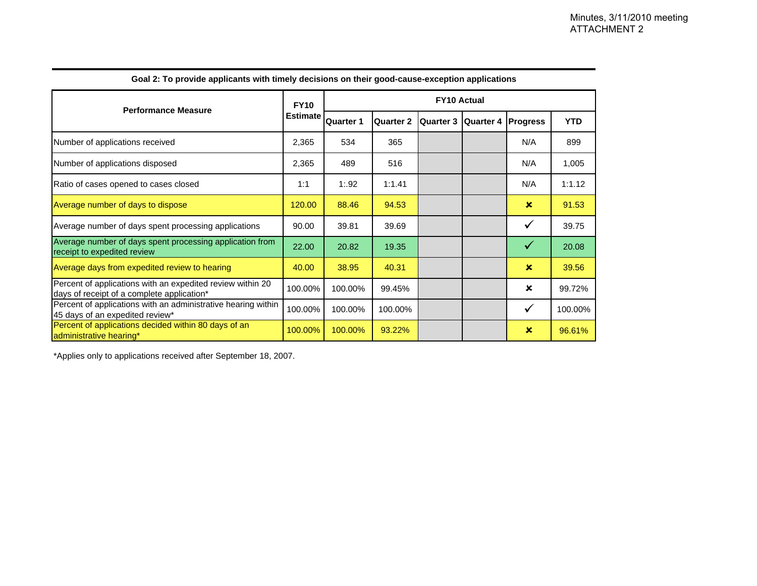|                                                                                                          | <b>FY10</b>     | <b>FY10 Actual</b> |                  |                  |           |                 |         |
|----------------------------------------------------------------------------------------------------------|-----------------|--------------------|------------------|------------------|-----------|-----------------|---------|
| <b>Performance Measure</b>                                                                               | <b>Estimate</b> | <b>Quarter 1</b>   | <b>Quarter 2</b> | <b>Quarter 3</b> | Quarter 4 | <b>Progress</b> | YTD     |
| Number of applications received                                                                          | 2,365           | 534                | 365              |                  |           | N/A             | 899     |
| Number of applications disposed                                                                          | 2,365           | 489                | 516              |                  |           | N/A             | 1,005   |
| Ratio of cases opened to cases closed                                                                    | 1:1             | 1:92               | 1:1.41           |                  |           | N/A             | 1:1.12  |
| Average number of days to dispose                                                                        | 120.00          | 88.46              | 94.53            |                  |           | $\mathbf x$     | 91.53   |
| Average number of days spent processing applications                                                     | 90.00           | 39.81              | 39.69            |                  |           | $\checkmark$    | 39.75   |
| Average number of days spent processing application from<br>receipt to expedited review                  | 22.00           | 20.82              | 19.35            |                  |           | $\checkmark$    | 20.08   |
| Average days from expedited review to hearing                                                            | 40.00           | 38.95              | 40.31            |                  |           | $\mathbf x$     | 39.56   |
| Percent of applications with an expedited review within 20<br>days of receipt of a complete application* | 100.00%         | 100.00%            | 99.45%           |                  |           | ×               | 99.72%  |
| Percent of applications with an administrative hearing within<br>45 days of an expedited review*         | 100.00%         | 100.00%            | 100.00%          |                  |           | $\checkmark$    | 100.00% |
| Percent of applications decided within 80 days of an<br>administrative hearing*                          | 100.00%         | 100.00%            | 93.22%           |                  |           | $\mathbf x$     | 96.61%  |

**Goal 2: To provide applicants with timely decisions on their good-cause-exception applications**

\*Applies only to applications received after September 18, 2007.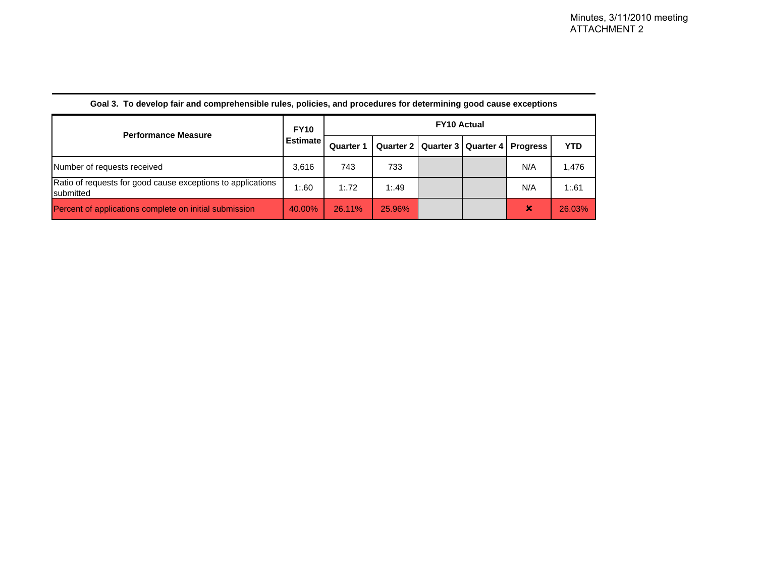| <b>Performance Measure</b>                                               | <b>FY10</b>     | <b>FY10 Actual</b> |        |                                              |  |                |            |
|--------------------------------------------------------------------------|-----------------|--------------------|--------|----------------------------------------------|--|----------------|------------|
|                                                                          | <b>Estimate</b> | <b>Quarter 1</b>   |        | Quarter 2   Quarter 3   Quarter 4   Progress |  |                | <b>YTD</b> |
| Number of requests received                                              | 3.616           | 743                | 733    |                                              |  | N/A            | 1.476      |
| Ratio of requests for good cause exceptions to applications<br>submitted | 1:60            | 1:72               | 1:49   |                                              |  | N/A            | 1:61       |
| Percent of applications complete on initial submission                   | 40.00%          | 26.11%             | 25.96% |                                              |  | $\pmb{\times}$ | 26.03%     |

#### **Goal 3. To develop fair and comprehensible rules, policies, and procedures for determining good cause exceptions**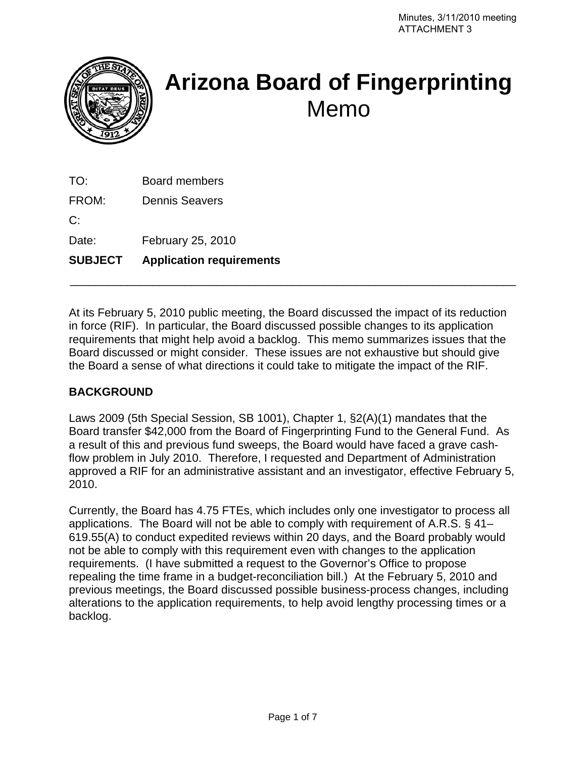<span id="page-10-0"></span>

# **Arizona Board of Fingerprinting**  Memo

TO: Board members

FROM: Dennis Seavers

C:

Date: February 25, 2010

**SUBJECT Application requirements** 

At its February 5, 2010 public meeting, the Board discussed the impact of its reduction in force (RIF). In particular, the Board discussed possible changes to its application requirements that might help avoid a backlog. This memo summarizes issues that the Board discussed or might consider. These issues are not exhaustive but should give the Board a sense of what directions it could take to mitigate the impact of the RIF.

\_\_\_\_\_\_\_\_\_\_\_\_\_\_\_\_\_\_\_\_\_\_\_\_\_\_\_\_\_\_\_\_\_\_\_\_\_\_\_\_\_\_\_\_\_\_\_\_\_\_\_\_\_\_\_\_\_\_\_\_\_\_\_\_\_\_\_\_\_\_

#### **BACKGROUND**

Laws 2009 (5th Special Session, SB 1001), Chapter 1, §2(A)(1) mandates that the Board transfer \$42,000 from the Board of Fingerprinting Fund to the General Fund. As a result of this and previous fund sweeps, the Board would have faced a grave cashflow problem in July 2010. Therefore, I requested and Department of Administration approved a RIF for an administrative assistant and an investigator, effective February 5, 2010.

Currently, the Board has 4.75 FTEs, which includes only one investigator to process all applications. The Board will not be able to comply with requirement of A.R.S. § 41– 619.55(A) to conduct expedited reviews within 20 days, and the Board probably would not be able to comply with this requirement even with changes to the application requirements. (I have submitted a request to the Governor's Office to propose repealing the time frame in a budget-reconciliation bill.) At the February 5, 2010 and previous meetings, the Board discussed possible business-process changes, including alterations to the application requirements, to help avoid lengthy processing times or a backlog.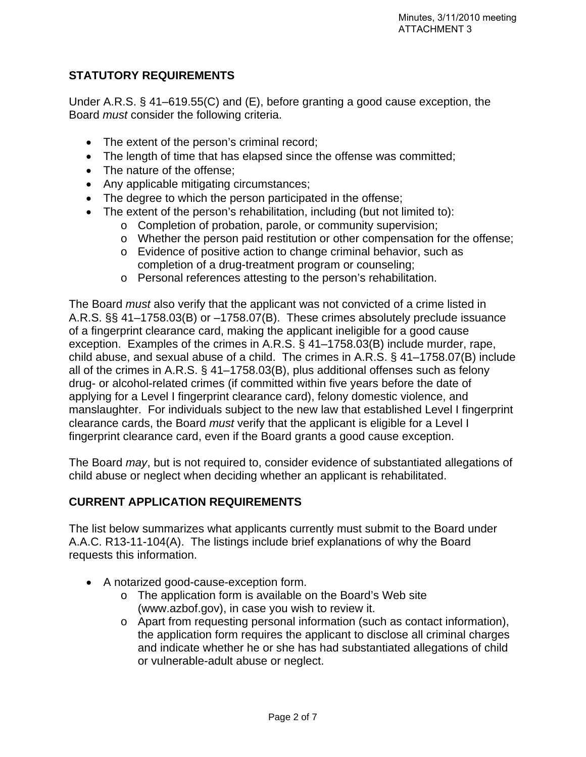#### **STATUTORY REQUIREMENTS**

Under A.R.S. § 41–619.55(C) and (E), before granting a good cause exception, the Board *must* consider the following criteria.

- The extent of the person's criminal record;
- The length of time that has elapsed since the offense was committed;
- The nature of the offense;
- Any applicable mitigating circumstances;
- The degree to which the person participated in the offense;
- The extent of the person's rehabilitation, including (but not limited to):
	- o Completion of probation, parole, or community supervision;
	- o Whether the person paid restitution or other compensation for the offense;
	- o Evidence of positive action to change criminal behavior, such as completion of a drug-treatment program or counseling;
	- o Personal references attesting to the person's rehabilitation.

The Board *must* also verify that the applicant was not convicted of a crime listed in A.R.S. §§ 41–1758.03(B) or –1758.07(B). These crimes absolutely preclude issuance of a fingerprint clearance card, making the applicant ineligible for a good cause exception. Examples of the crimes in A.R.S. § 41–1758.03(B) include murder, rape, child abuse, and sexual abuse of a child. The crimes in A.R.S. § 41–1758.07(B) include all of the crimes in A.R.S. § 41–1758.03(B), plus additional offenses such as felony drug- or alcohol-related crimes (if committed within five years before the date of applying for a Level I fingerprint clearance card), felony domestic violence, and manslaughter. For individuals subject to the new law that established Level I fingerprint clearance cards, the Board *must* verify that the applicant is eligible for a Level I fingerprint clearance card, even if the Board grants a good cause exception.

The Board *may*, but is not required to, consider evidence of substantiated allegations of child abuse or neglect when deciding whether an applicant is rehabilitated.

#### **CURRENT APPLICATION REQUIREMENTS**

The list below summarizes what applicants currently must submit to the Board under A.A.C. R13-11-104(A). The listings include brief explanations of why the Board requests this information.

- A notarized good-cause-exception form.
	- o The application form is available on the Board's Web site (www.azbof.gov), in case you wish to review it.
	- o Apart from requesting personal information (such as contact information), the application form requires the applicant to disclose all criminal charges and indicate whether he or she has had substantiated allegations of child or vulnerable-adult abuse or neglect.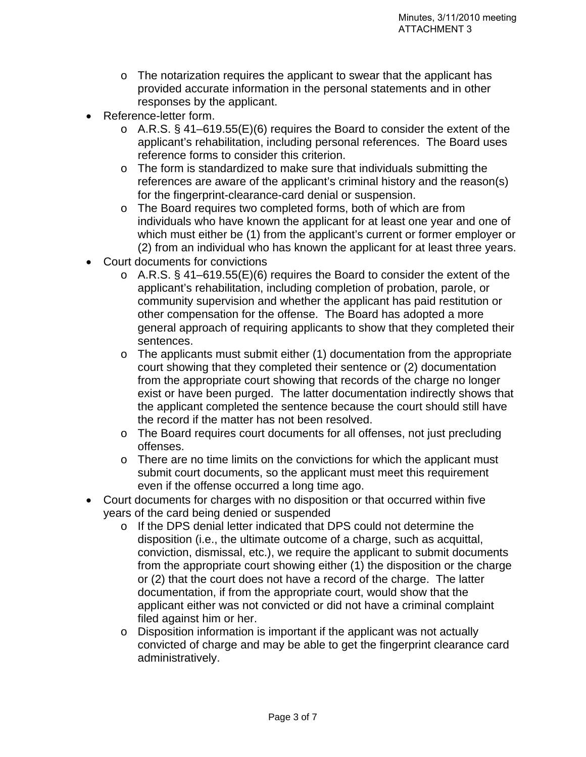- $\circ$  The notarization requires the applicant to swear that the applicant has provided accurate information in the personal statements and in other responses by the applicant.
- Reference-letter form.
	- o A.R.S. § 41–619.55(E)(6) requires the Board to consider the extent of the applicant's rehabilitation, including personal references. The Board uses reference forms to consider this criterion.
	- o The form is standardized to make sure that individuals submitting the references are aware of the applicant's criminal history and the reason(s) for the fingerprint-clearance-card denial or suspension.
	- o The Board requires two completed forms, both of which are from individuals who have known the applicant for at least one year and one of which must either be (1) from the applicant's current or former employer or (2) from an individual who has known the applicant for at least three years.
- Court documents for convictions
	- o A.R.S. § 41–619.55(E)(6) requires the Board to consider the extent of the applicant's rehabilitation, including completion of probation, parole, or community supervision and whether the applicant has paid restitution or other compensation for the offense. The Board has adopted a more general approach of requiring applicants to show that they completed their sentences.
	- o The applicants must submit either (1) documentation from the appropriate court showing that they completed their sentence or (2) documentation from the appropriate court showing that records of the charge no longer exist or have been purged. The latter documentation indirectly shows that the applicant completed the sentence because the court should still have the record if the matter has not been resolved.
	- o The Board requires court documents for all offenses, not just precluding offenses.
	- o There are no time limits on the convictions for which the applicant must submit court documents, so the applicant must meet this requirement even if the offense occurred a long time ago.
- Court documents for charges with no disposition or that occurred within five years of the card being denied or suspended
	- o If the DPS denial letter indicated that DPS could not determine the disposition (i.e., the ultimate outcome of a charge, such as acquittal, conviction, dismissal, etc.), we require the applicant to submit documents from the appropriate court showing either (1) the disposition or the charge or (2) that the court does not have a record of the charge. The latter documentation, if from the appropriate court, would show that the applicant either was not convicted or did not have a criminal complaint filed against him or her.
	- o Disposition information is important if the applicant was not actually convicted of charge and may be able to get the fingerprint clearance card administratively.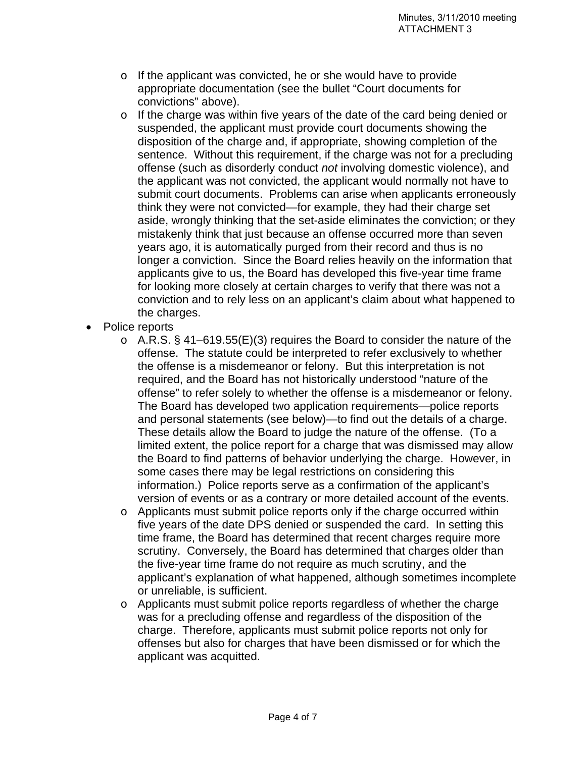- o If the applicant was convicted, he or she would have to provide appropriate documentation (see the bullet "Court documents for convictions" above).
- o If the charge was within five years of the date of the card being denied or suspended, the applicant must provide court documents showing the disposition of the charge and, if appropriate, showing completion of the sentence. Without this requirement, if the charge was not for a precluding offense (such as disorderly conduct *not* involving domestic violence), and the applicant was not convicted, the applicant would normally not have to submit court documents. Problems can arise when applicants erroneously think they were not convicted—for example, they had their charge set aside, wrongly thinking that the set-aside eliminates the conviction; or they mistakenly think that just because an offense occurred more than seven years ago, it is automatically purged from their record and thus is no longer a conviction. Since the Board relies heavily on the information that applicants give to us, the Board has developed this five-year time frame for looking more closely at certain charges to verify that there was not a conviction and to rely less on an applicant's claim about what happened to the charges.
- Police reports
	- o A.R.S. § 41–619.55(E)(3) requires the Board to consider the nature of the offense. The statute could be interpreted to refer exclusively to whether the offense is a misdemeanor or felony. But this interpretation is not required, and the Board has not historically understood "nature of the offense" to refer solely to whether the offense is a misdemeanor or felony. The Board has developed two application requirements—police reports and personal statements (see below)—to find out the details of a charge. These details allow the Board to judge the nature of the offense. (To a limited extent, the police report for a charge that was dismissed may allow the Board to find patterns of behavior underlying the charge. However, in some cases there may be legal restrictions on considering this information.) Police reports serve as a confirmation of the applicant's version of events or as a contrary or more detailed account of the events.
	- o Applicants must submit police reports only if the charge occurred within five years of the date DPS denied or suspended the card. In setting this time frame, the Board has determined that recent charges require more scrutiny. Conversely, the Board has determined that charges older than the five-year time frame do not require as much scrutiny, and the applicant's explanation of what happened, although sometimes incomplete or unreliable, is sufficient.
	- o Applicants must submit police reports regardless of whether the charge was for a precluding offense and regardless of the disposition of the charge. Therefore, applicants must submit police reports not only for offenses but also for charges that have been dismissed or for which the applicant was acquitted.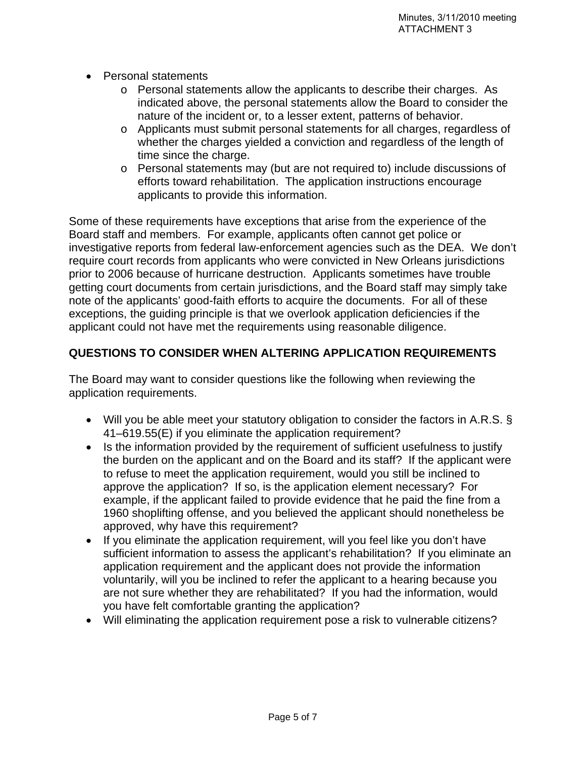- Personal statements
	- o Personal statements allow the applicants to describe their charges. As indicated above, the personal statements allow the Board to consider the nature of the incident or, to a lesser extent, patterns of behavior.
	- o Applicants must submit personal statements for all charges, regardless of whether the charges yielded a conviction and regardless of the length of time since the charge.
	- o Personal statements may (but are not required to) include discussions of efforts toward rehabilitation. The application instructions encourage applicants to provide this information.

Some of these requirements have exceptions that arise from the experience of the Board staff and members. For example, applicants often cannot get police or investigative reports from federal law-enforcement agencies such as the DEA. We don't require court records from applicants who were convicted in New Orleans jurisdictions prior to 2006 because of hurricane destruction. Applicants sometimes have trouble getting court documents from certain jurisdictions, and the Board staff may simply take note of the applicants' good-faith efforts to acquire the documents. For all of these exceptions, the guiding principle is that we overlook application deficiencies if the applicant could not have met the requirements using reasonable diligence.

#### **QUESTIONS TO CONSIDER WHEN ALTERING APPLICATION REQUIREMENTS**

The Board may want to consider questions like the following when reviewing the application requirements.

- Will you be able meet your statutory obligation to consider the factors in A.R.S. § 41–619.55(E) if you eliminate the application requirement?
- Is the information provided by the requirement of sufficient usefulness to justify the burden on the applicant and on the Board and its staff? If the applicant were to refuse to meet the application requirement, would you still be inclined to approve the application? If so, is the application element necessary? For example, if the applicant failed to provide evidence that he paid the fine from a 1960 shoplifting offense, and you believed the applicant should nonetheless be approved, why have this requirement?
- If you eliminate the application requirement, will you feel like you don't have sufficient information to assess the applicant's rehabilitation? If you eliminate an application requirement and the applicant does not provide the information voluntarily, will you be inclined to refer the applicant to a hearing because you are not sure whether they are rehabilitated? If you had the information, would you have felt comfortable granting the application?
- Will eliminating the application requirement pose a risk to vulnerable citizens?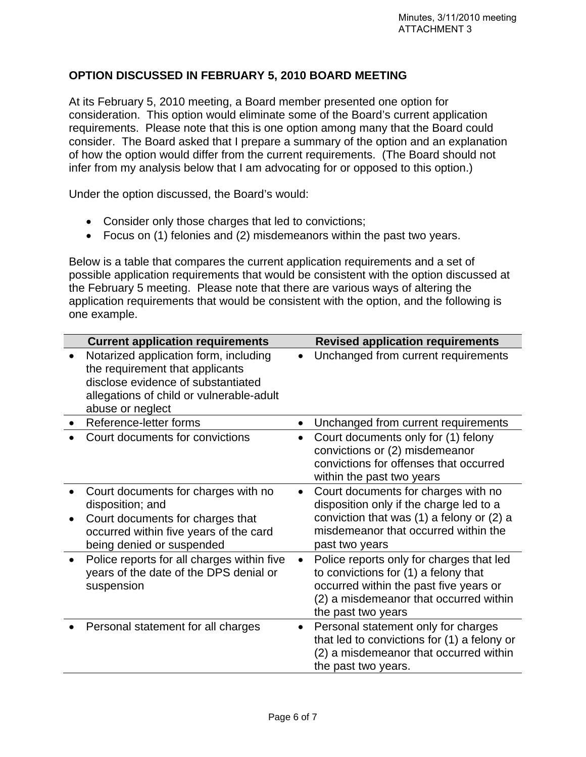#### **OPTION DISCUSSED IN FEBRUARY 5, 2010 BOARD MEETING**

At its February 5, 2010 meeting, a Board member presented one option for consideration. This option would eliminate some of the Board's current application requirements. Please note that this is one option among many that the Board could consider. The Board asked that I prepare a summary of the option and an explanation of how the option would differ from the current requirements. (The Board should not infer from my analysis below that I am advocating for or opposed to this option.)

Under the option discussed, the Board's would:

- Consider only those charges that led to convictions;
- Focus on (1) felonies and (2) misdemeanors within the past two years.

Below is a table that compares the current application requirements and a set of possible application requirements that would be consistent with the option discussed at the February 5 meeting. Please note that there are various ways of altering the application requirements that would be consistent with the option, and the following is one example.

| <b>Current application requirements</b>                                                                                                                                        |           | <b>Revised application requirements</b>                                                                                                                                                    |
|--------------------------------------------------------------------------------------------------------------------------------------------------------------------------------|-----------|--------------------------------------------------------------------------------------------------------------------------------------------------------------------------------------------|
| Notarized application form, including<br>the requirement that applicants<br>disclose evidence of substantiated<br>allegations of child or vulnerable-adult<br>abuse or neglect | $\bullet$ | Unchanged from current requirements                                                                                                                                                        |
| Reference-letter forms                                                                                                                                                         | $\bullet$ | Unchanged from current requirements                                                                                                                                                        |
| Court documents for convictions                                                                                                                                                | $\bullet$ | Court documents only for (1) felony<br>convictions or (2) misdemeanor<br>convictions for offenses that occurred<br>within the past two years                                               |
| Court documents for charges with no<br>disposition; and<br>Court documents for charges that<br>occurred within five years of the card<br>being denied or suspended             | $\bullet$ | Court documents for charges with no<br>disposition only if the charge led to a<br>conviction that was $(1)$ a felony or $(2)$ a<br>misdemeanor that occurred within the<br>past two years  |
| Police reports for all charges within five<br>years of the date of the DPS denial or<br>suspension                                                                             | $\bullet$ | Police reports only for charges that led<br>to convictions for (1) a felony that<br>occurred within the past five years or<br>(2) a misdemeanor that occurred within<br>the past two years |
| Personal statement for all charges                                                                                                                                             | $\bullet$ | Personal statement only for charges<br>that led to convictions for (1) a felony or<br>(2) a misdemeanor that occurred within<br>the past two years.                                        |